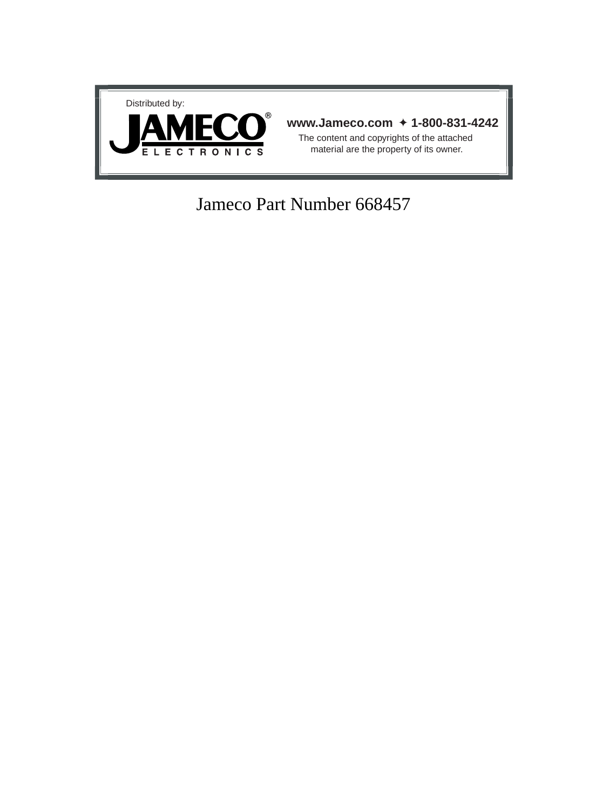

# Jameco Part Number 668457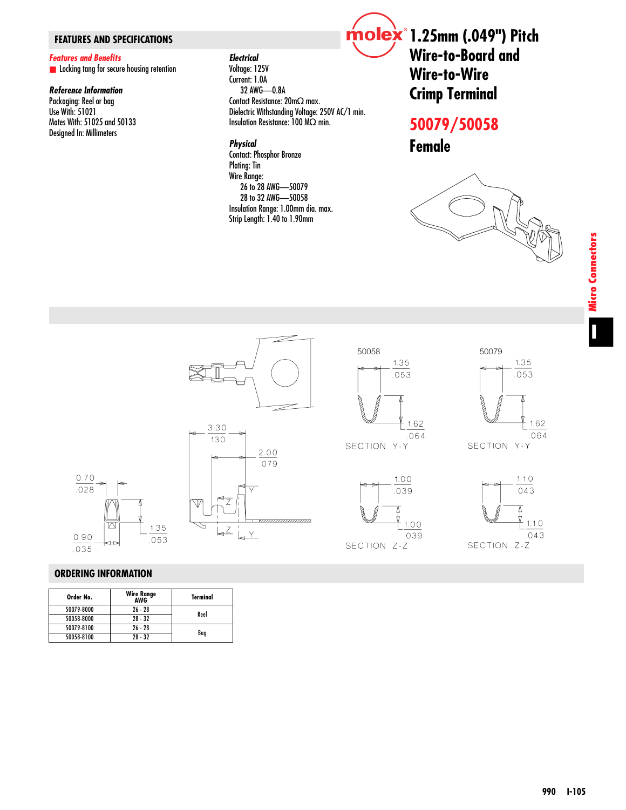### **FEATURES AND SPECIFICATIONS**

#### **Features and Benefits**

■ Locking tang for secure housing retention

#### **Reference Information**

Packaging: Reel or bag Use With: 51021 Mates With: 51025 and 50133 Designed In: Millimeters

**Electrical**  Voltage: 125V Current: 1.0A 32 AWG—0.8A Contact Resistance: 20mΩ max. Dielectric Withstanding Voltage: 250V AC/1 min. Insulation Resistance: 100 MΩ min.

#### **Physical**

Contact: Phosphor Bronze Plating: Tin Wire Range: 26 to 28 AWG—50079 28 to 32 AWG—50058 Insulation Range: 1.00mm dia. max. Strip Length: 1.40 to 1.90mm



**1.25mm (.049") Pitch Wire-to-Board and Wire-to-Wire Crimp Terminal** 

# **50079/50058**

# **Female**







 $1.00$ 

 $039$ 

SECTION Z-Z

 $1.00$ 

 $.039$ 



SECTION Z-Z

 $1.10$ 

 $\overline{043}$ 

 $1.10$ 

043



### **ORDERING INFORMATION**

| Order No.  | <b>Wire Range</b><br>AWG | Terminal |
|------------|--------------------------|----------|
| 50079-8000 | $26 - 28$                | Reel     |
| 50058-8000 | $28 - 32$                |          |
| 50079-8100 | $26 - 28$                |          |
| 50058-8100 | $28 - 32$                | Bag      |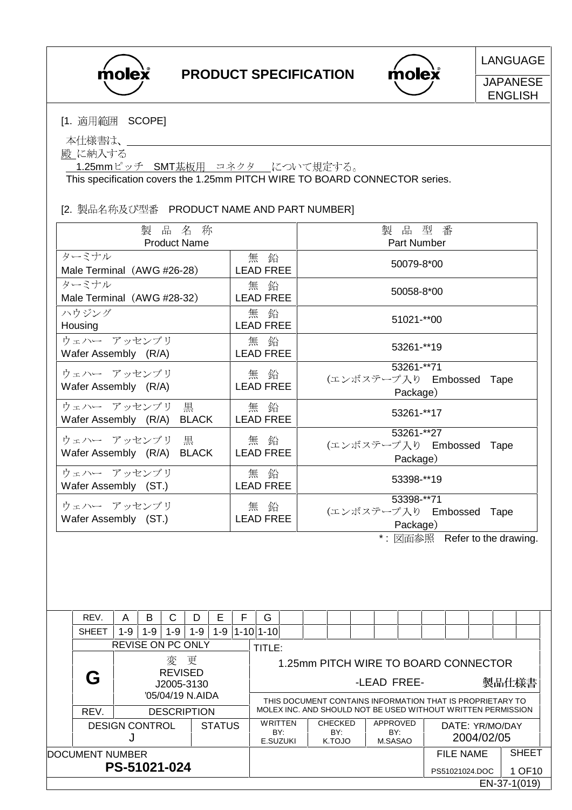



**JAPANESE** ENGLISH

### [1. 適用範囲 SCOPE]

本仕様書は、

殿 に納入する

1.25mmピッチ SMT基板用 コネクタ について規定する。

This specification covers the 1.25mm PITCH WIRE TO BOARD CONNECTOR series.

## [2. 製品名称及び型番 PRODUCT NAME AND PART NUMBER]

| 製品名称                                        |                             | 製<br>品型番                                           |  |  |
|---------------------------------------------|-----------------------------|----------------------------------------------------|--|--|
| <b>Product Name</b>                         |                             | Part Number                                        |  |  |
| ターミナル<br>Male Terminal (AWG #26-28)         | 無<br>鉛<br><b>LEAD FREE</b>  | 50079-8*00                                         |  |  |
| ターミナル<br>Male Terminal (AWG #28-32)         | 無<br>鉛<br><b>LEAD FREE</b>  | 50058-8*00                                         |  |  |
| ハウジング<br>Housing                            | 無<br>鉛<br><b>LEAD FREE</b>  | $51021 - *00$                                      |  |  |
| ウェハー アッセンブリ<br>Wafer Assembly (R/A)         | 鉛<br>無<br><b>LEAD FREE</b>  | 53261-**19                                         |  |  |
| ウェハー アッセンブリ<br>Wafer Assembly (R/A)         | 無 鉛<br><b>LEAD FREE</b>     | 53261-**71<br>(エンボステープ入り Embossed Tape<br>Package) |  |  |
| ウェハー アッセンブリ 黒<br>Wafer Assembly (R/A) BLACK | 無 鉛<br><b>LEAD FREE</b>     | 53261-**17                                         |  |  |
| ウェハー アッセンブリ 黒<br>Wafer Assembly (R/A) BLACK | 無 鉛<br><b>LEAD FREE</b>     | 53261-**27<br>(エンボステープ入り Embossed Tape<br>Package) |  |  |
| ウェハー アッセンブリ<br>Wafer Assembly (ST.)         | 無<br>一鉛<br><b>LEAD FREE</b> | 53398-**19                                         |  |  |
| ウェハー アッセンブリ<br>Wafer Assembly (ST.)         | 無 鉛<br><b>LEAD FREE</b>     | 53398-**71<br>(エンボステープ入り Embossed Tape<br>Package) |  |  |
|                                             |                             | *: 図面参照 Refer to the drawing.                      |  |  |

REV. | A | B | C | D | E | F | G SHEET | 1-9 | 1-9 | 1-9 | 1-9 | 1-9 | 1-10 | 1-10 REVISE ON PC ONLY TITLE: 麥 更 1.25mm PITCH WIRE TO BOARD CONNECTOR REVISED  $G$  REVISED  $_{12005-3130}$   $\qquad$  -LEAD FREE-製品仕様書 J2005-3130 '05/04/19 N.AIDA THIS DOCUMENT CONTAINS INFORMATION THAT IS PROPRIETARY TO MOLEX INC. AND SHOULD NOT BE USED WITHOUT WRITTEN PERMISSION REV. **DESCRIPTION** STATUS WRITTEN CHECKED APPROVED DESIGN CONTROL DATE: YR/MO/DAY BY: BY: BY: J 2004/02/05 E.SUZUKI K.TOJO M.SASAO DOCUMENT NUMBER SHEET FILE NAME **PS-51021-024** PS51021024.DOC 1 OF10 EN-37-1(019)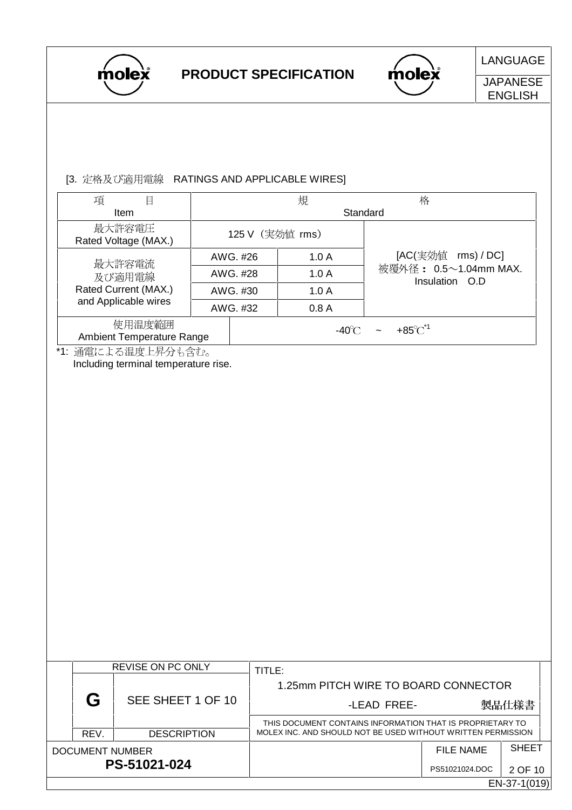| molex                                           |                    |                 | <b>PRODUCT SPECIFICATION</b>                                                                                              | molex                         |                                         | <b>LANGUAGE</b><br><b>JAPANESE</b><br><b>ENGLISH</b> |
|-------------------------------------------------|--------------------|-----------------|---------------------------------------------------------------------------------------------------------------------------|-------------------------------|-----------------------------------------|------------------------------------------------------|
| [3. 定格及び適用電線 RATINGS AND APPLICABLE WIRES]      |                    |                 |                                                                                                                           |                               |                                         |                                                      |
| 目<br>項<br>Item                                  |                    |                 | 規                                                                                                                         | Standard                      | 格                                       |                                                      |
| 最大許容電圧<br>Rated Voltage (MAX.)                  |                    | 125 V (実効値 rms) |                                                                                                                           |                               |                                         |                                                      |
| 最大許容電流                                          |                    | AWG. #26        | 1.0A                                                                                                                      |                               | [AC(実効値 rms) / DC]                      |                                                      |
| 及び適用電線                                          |                    | AWG. #28        | 1.0A                                                                                                                      |                               | 被覆外径: 0.5~1.04mm MAX.<br>Insulation O.D |                                                      |
| Rated Current (MAX.)<br>and Applicable wires    |                    | AWG. #30        | 1.0A                                                                                                                      |                               |                                         |                                                      |
| 使用温度範囲                                          |                    | AWG. #32        | 0.8A                                                                                                                      |                               |                                         |                                                      |
| Ambient Temperature Range<br>*1: 通電による温度上昇分も含む。 |                    |                 | $-40^{\circ}$ C ~                                                                                                         | $+85^{\circ}$ C <sup>*1</sup> |                                         |                                                      |
| Including terminal temperature rise.            |                    |                 |                                                                                                                           |                               |                                         |                                                      |
|                                                 |                    |                 |                                                                                                                           |                               |                                         |                                                      |
|                                                 | REVISE ON PC ONLY  | TITLE:          |                                                                                                                           |                               |                                         |                                                      |
|                                                 |                    |                 | 1.25mm PITCH WIRE TO BOARD CONNECTOR                                                                                      |                               |                                         |                                                      |
| G                                               | SEE SHEET 1 OF 10  |                 |                                                                                                                           | -LEAD FREE-                   |                                         |                                                      |
| REV.                                            | <b>DESCRIPTION</b> |                 | THIS DOCUMENT CONTAINS INFORMATION THAT IS PROPRIETARY TO<br>MOLEX INC. AND SHOULD NOT BE USED WITHOUT WRITTEN PERMISSION |                               |                                         |                                                      |
| <b>DOCUMENT NUMBER</b><br>PS-51021-024          |                    |                 |                                                                                                                           |                               | <b>FILE NAME</b>                        | 製品仕様書<br><b>SHEET</b><br>2 OF 10                     |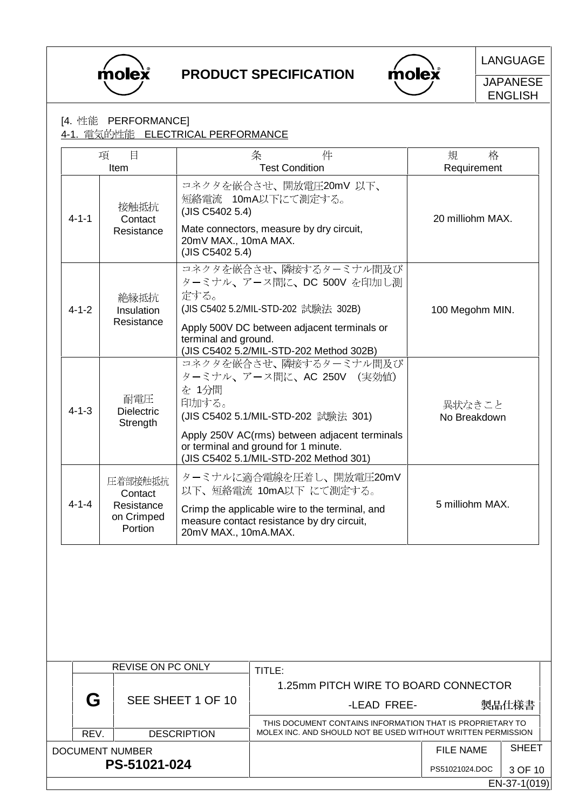



**JAPANESE** ENGLISH

## [4. 性能 PERFORMANCE]

## 4-1. 電気的性能 ELECTRICAL PERFORMANCE

| 項<br>$\Box$<br>Item |                                                           | 件<br>条<br><b>Test Condition</b>                                                                                                                                                                                                                 | 格<br>規<br>Requirement  |
|---------------------|-----------------------------------------------------------|-------------------------------------------------------------------------------------------------------------------------------------------------------------------------------------------------------------------------------------------------|------------------------|
| $4 - 1 - 1$         | 接触抵抗<br>Contact<br>Resistance                             | コネクタを嵌合させ、開放電圧20mV 以下、<br>短絡電流 10mA以下にて測定する。<br>(JIS C5402 5.4)<br>Mate connectors, measure by dry circuit,<br>20mV MAX., 10mA MAX.<br>(JIS C5402 5.4)                                                                                          | 20 milliohm MAX.       |
| $4 - 1 - 2$         | 絶縁抵抗<br><b>Insulation</b><br>Resistance                   | コネクタを嵌合させ、隣接するターミナル間及び<br>ターミナル、アース間に、DC 500V を印加し測<br>定する。<br>(JIS C5402 5.2/MIL-STD-202 試験法 302B)<br>Apply 500V DC between adjacent terminals or<br>terminal and ground.<br>(JIS C5402 5.2/MIL-STD-202 Method 302B)                           | 100 Megohm MIN.        |
| $4 - 1 - 3$         | 耐雷圧<br><b>Dielectric</b><br>Strength                      | コネクタを嵌合させ、隣接するターミナル間及び<br>ターミナル、アース間に、AC 250V (実効値)<br>を 1分間<br>印加する。<br>(JIS C5402 5.1/MIL-STD-202 試験法 301)<br>Apply 250V AC(rms) between adjacent terminals<br>or terminal and ground for 1 minute.<br>(JIS C5402 5.1/MIL-STD-202 Method 301) | 異状なきこと<br>No Breakdown |
| $4 - 1 - 4$         | 圧着部接触抵抗<br>Contact<br>Resistance<br>on Crimped<br>Portion | ターミナルに適合電線を圧着し、開放電圧20mV<br>以下、短絡電流 10mA以下 にて測定する。<br>Crimp the applicable wire to the terminal, and<br>measure contact resistance by dry circuit,<br>20mV MAX., 10mA.MAX.                                                                       | 5 milliohm MAX.        |

|              |                 | <b>REVISE ON PC ONLY</b> | TITLE:                                                       |                |              |  |  |
|--------------|-----------------|--------------------------|--------------------------------------------------------------|----------------|--------------|--|--|
|              |                 | SEE SHEET 1 OF 10        | 1.25mm PITCH WIRE TO BOARD CONNECTOR                         |                |              |  |  |
|              | G               |                          | -LEAD FREE-                                                  |                | 製品仕様書        |  |  |
|              |                 |                          | THIS DOCUMENT CONTAINS INFORMATION THAT IS PROPRIETARY TO    |                |              |  |  |
|              | REV.            | <b>DESCRIPTION</b>       | MOLEX INC. AND SHOULD NOT BE USED WITHOUT WRITTEN PERMISSION |                |              |  |  |
|              | DOCUMENT NUMBER |                          |                                                              | FILE NAME      | <b>SHEET</b> |  |  |
| PS-51021-024 |                 |                          |                                                              | PS51021024.DOC | 3 OF 10      |  |  |
|              |                 |                          |                                                              |                | EN-37-1(019) |  |  |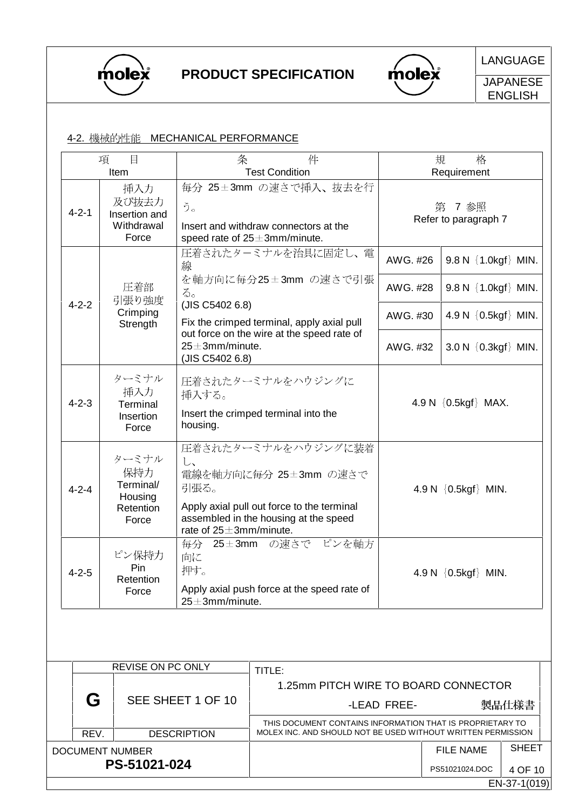



**JAPANESE** ENGLISH

4-2. 機械的性能 MECHANICAL PERFORMANCE

|             | 項<br>目                                                                                 | 件<br>条                                                                                                                                                                             |                                  | 規<br>格                            |
|-------------|----------------------------------------------------------------------------------------|------------------------------------------------------------------------------------------------------------------------------------------------------------------------------------|----------------------------------|-----------------------------------|
|             | Item                                                                                   | <b>Test Condition</b>                                                                                                                                                              |                                  | Requirement                       |
| $4 - 2 - 1$ | 挿入力<br>及び抜去力<br>Insertion and<br>Withdrawal<br>Force                                   | 毎分 25±3mm の速さで挿入、抜去を行<br>う。<br>Insert and withdraw connectors at the<br>speed rate of $25 \pm 3$ mm/minute.                                                                        |                                  | 第 7 参照<br>Refer to paragraph 7    |
|             |                                                                                        | 圧着されたターミナルを治具に固定し、電<br>線                                                                                                                                                           | AWG. #26                         | 9.8 N {1.0kgf} MIN.               |
|             | 圧着部<br>引張り強度                                                                           | を軸方向に毎分25±3mm の速さで引張<br>る。                                                                                                                                                         | AWG. #28                         | 9.8 N {1.0kgf} MIN.               |
| $4 - 2 - 2$ | Crimping<br>Strength                                                                   | (JIS C5402 6.8)<br>Fix the crimped terminal, apply axial pull                                                                                                                      | AWG. #30                         | 4.9 N {0.5kgf} MIN.               |
|             | out force on the wire at the speed rate of<br>$25 \pm 3$ mm/minute.<br>(JIS C5402 6.8) |                                                                                                                                                                                    | AWG. #32                         | $3.0 N \{0.3 kgf\}$ MIN.          |
| $4 - 2 - 3$ | ターミナル<br>挿入力<br>Terminal<br>Insertion<br>Force                                         | 圧着されたターミナルをハウジングに<br>挿入する。<br>Insert the crimped terminal into the<br>housing.                                                                                                     | 4.9 N $\{0.5\text{kgf}\}\;$ MAX. |                                   |
| $4 - 2 - 4$ | ターミナル<br>保持力<br>Terminal/<br>Housing<br>Retention<br>Force                             | 圧着されたターミナルをハウジングに装着<br>し、<br>電線を軸方向に毎分 25±3mm の速さで<br>引張る。<br>Apply axial pull out force to the terminal<br>assembled in the housing at the speed<br>rate of $25 \pm 3$ mm/minute. |                                  | 4.9 N {0.5kgf} MIN.               |
| $4 - 2 - 5$ | ピン保持力<br>Pin<br>Retention<br>Force                                                     | 25±3mm の速さで ピンを軸方<br>每分<br>向に<br>押す。<br>Apply axial push force at the speed rate of<br>$25 \pm 3$ mm/minute.                                                                       |                                  | 4.9 N $\{0.5 \text{kgf}\}\,$ MIN. |

|                                 |      | <b>REVISE ON PC ONLY</b> | TITLE:                                                       |                |              |
|---------------------------------|------|--------------------------|--------------------------------------------------------------|----------------|--------------|
|                                 |      |                          | 1.25mm PITCH WIRE TO BOARD CONNECTOR                         |                |              |
|                                 | G    | SEE SHEET 1 OF 10        | -LEAD FREE-                                                  |                | 製品仕様書        |
|                                 |      |                          | THIS DOCUMENT CONTAINS INFORMATION THAT IS PROPRIETARY TO    |                |              |
|                                 | REV. | <b>DESCRIPTION</b>       | MOLEX INC. AND SHOULD NOT BE USED WITHOUT WRITTEN PERMISSION |                |              |
| DOCUMENT NUMBER<br>PS-51021-024 |      |                          |                                                              | FILE NAME      | <b>SHEET</b> |
|                                 |      |                          |                                                              | PS51021024.DOC | 4 OF 10      |
|                                 |      |                          |                                                              |                | EN-37-1(019) |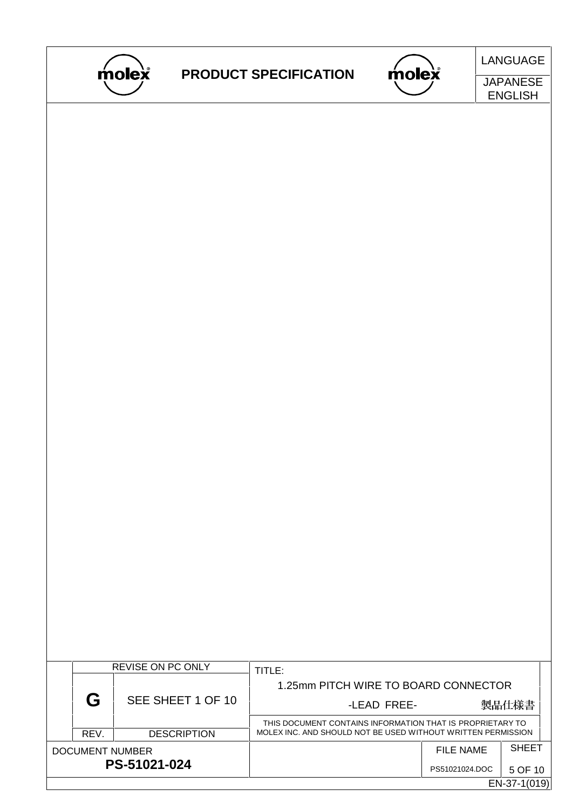|      | <i>molex</i>      |                    | <b>PRODUCT SPECIFICATION</b>                                                                                              |             | molex |                  | LANGUAGE<br><b>JAPANESE</b><br><b>ENGLISH</b> |
|------|-------------------|--------------------|---------------------------------------------------------------------------------------------------------------------------|-------------|-------|------------------|-----------------------------------------------|
|      |                   |                    |                                                                                                                           |             |       |                  |                                               |
|      |                   |                    |                                                                                                                           |             |       |                  |                                               |
|      |                   |                    |                                                                                                                           |             |       |                  |                                               |
|      |                   |                    |                                                                                                                           |             |       |                  |                                               |
|      |                   |                    |                                                                                                                           |             |       |                  |                                               |
|      |                   |                    |                                                                                                                           |             |       |                  |                                               |
|      |                   |                    |                                                                                                                           |             |       |                  |                                               |
|      |                   |                    |                                                                                                                           |             |       |                  |                                               |
|      |                   |                    |                                                                                                                           |             |       |                  |                                               |
|      |                   |                    |                                                                                                                           |             |       |                  |                                               |
|      |                   |                    |                                                                                                                           |             |       |                  |                                               |
|      |                   |                    |                                                                                                                           |             |       |                  |                                               |
|      |                   |                    |                                                                                                                           |             |       |                  |                                               |
|      |                   |                    |                                                                                                                           |             |       |                  |                                               |
|      |                   |                    |                                                                                                                           |             |       |                  |                                               |
|      |                   |                    |                                                                                                                           |             |       |                  |                                               |
|      |                   |                    |                                                                                                                           |             |       |                  |                                               |
|      |                   |                    |                                                                                                                           |             |       |                  |                                               |
|      | REVISE ON PC ONLY |                    | TITLE:<br>1.25mm PITCH WIRE TO BOARD CONNECTOR                                                                            |             |       |                  |                                               |
| G    |                   | SEE SHEET 1 OF 10  |                                                                                                                           | -LEAD FREE- |       |                  | 製品仕様書                                         |
| REV. |                   | <b>DESCRIPTION</b> | THIS DOCUMENT CONTAINS INFORMATION THAT IS PROPRIETARY TO<br>MOLEX INC. AND SHOULD NOT BE USED WITHOUT WRITTEN PERMISSION |             |       |                  |                                               |
|      | DOCUMENT NUMBER   |                    |                                                                                                                           |             |       | <b>FILE NAME</b> | <b>SHEET</b>                                  |
|      | PS-51021-024      |                    |                                                                                                                           |             |       | PS51021024.DOC   | 5 OF 10<br>EN-37-1(019)                       |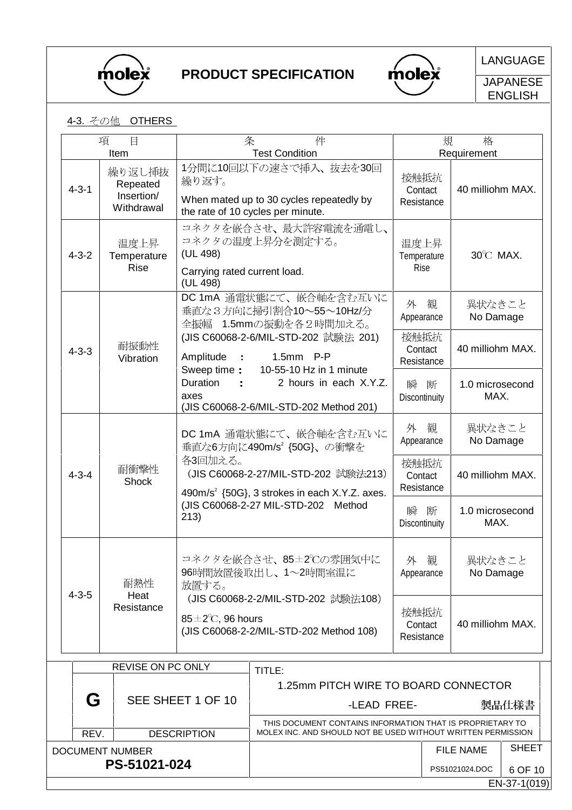



**JAPANESE** ENGLISH

4-3. その他 OTHERS

|  |                        | 目<br>項<br>Item                                 | 条                                                                                                            | 件<br><b>Test Condition</b>                                                                               |                                                                                                                           | 規                  | 格<br>Requirement        |              |
|--|------------------------|------------------------------------------------|--------------------------------------------------------------------------------------------------------------|----------------------------------------------------------------------------------------------------------|---------------------------------------------------------------------------------------------------------------------------|--------------------|-------------------------|--------------|
|  | $4 - 3 - 1$            | 繰り返し挿抜<br>Repeated<br>Insertion/<br>Withdrawal | 繰り返す。                                                                                                        | 1分間に10回以下の速さで挿入、抜去を30回<br>When mated up to 30 cycles repeatedly by<br>the rate of 10 cycles per minute.  | 接触抵抗<br>Contact<br>Resistance                                                                                             |                    | 40 milliohm MAX.        |              |
|  | $4 - 3 - 2$            | 温度上昇<br>Temperature<br><b>Rise</b>             | (UL 498)<br>Carrying rated current load.<br>(UL 498)                                                         | コネクタを嵌合させ、最大許容電流を通電し、<br>コネクタの温度上昇分を測定する。                                                                | 温度上昇<br>Temperature<br>Rise                                                                                               |                    | $30^{\circ}$ C MAX.     |              |
|  |                        |                                                |                                                                                                              | DC 1mA 通電状態にて、嵌合軸を含む互いに<br>垂直な3方向に掃引割合10~55~10Hz/分<br>全振幅 1.5mmの振動を各2時間加える。                              | 外<br>Appearance                                                                                                           | 観                  | 異状なきこと<br>No Damage     |              |
|  | $4 - 3 - 3$            | 耐振動性<br>Vibration                              | Amplitude<br>$\mathbb{R}^n$                                                                                  | (JIS C60068-2-6/MIL-STD-202 試験法 201)<br>1.5mm P-P                                                        | 接触抵抗<br>Contact<br>Resistance                                                                                             |                    | 40 milliohm MAX.        |              |
|  |                        |                                                | Duration<br>$\sim$ 100<br>axes                                                                               | Sweep time: 10-55-10 Hz in 1 minute<br>2 hours in each X.Y.Z.<br>(JIS C60068-2-6/MIL-STD-202 Method 201) |                                                                                                                           | 断<br>Discontinuity | 1.0 microsecond<br>MAX. |              |
|  |                        |                                                |                                                                                                              | DC 1mA 通電状態にて、嵌合軸を含む互いに<br>垂直な6方向に490m/s <sup>2</sup> {50G}、の衝撃を                                         |                                                                                                                           | 観<br>Appearance    | 異状なきこと<br>No Damage     |              |
|  | $4 - 3 - 4$            | 耐衝撃性<br><b>Shock</b>                           | 各3回加える。<br>(JIS C60068-2-27/MIL-STD-202 試験法213)<br>490m/s <sup>2</sup> {50G}, 3 strokes in each X.Y.Z. axes. |                                                                                                          | 接触抵抗<br>Contact<br>Resistance                                                                                             |                    | 40 milliohm MAX.        |              |
|  |                        |                                                | 213)                                                                                                         | (JIS C60068-2-27 MIL-STD-202 Method                                                                      | 瞬<br>Discontinuity                                                                                                        | 断                  | 1.0 microsecond<br>MAX. |              |
|  | $4 - 3 - 5$            | 耐熱性                                            | 放置する。                                                                                                        | コネクタを嵌合させ、85±2℃の雰囲気中に<br>96時間放置後取出し、1~2時間室温に                                                             | 外 観<br>Appearance                                                                                                         |                    | 異状なきこと<br>No Damage     |              |
|  |                        | Heat<br>Resistance                             | $85 \pm 2^{\circ}$ C, 96 hours                                                                               | (JIS C60068-2-2/MIL-STD-202 試験法108)<br>(JIS C60068-2-2/MIL-STD-202 Method 108)                           | 接触抵抗<br>Contact<br>Resistance                                                                                             |                    | 40 milliohm MAX.        |              |
|  |                        | REVISE ON PC ONLY                              |                                                                                                              | TITLE:                                                                                                   |                                                                                                                           |                    |                         |              |
|  | G<br>SEE SHEET 1 OF 10 |                                                | 1.25mm PITCH WIRE TO BOARD CONNECTOR                                                                         |                                                                                                          |                                                                                                                           |                    |                         |              |
|  |                        |                                                |                                                                                                              | -LEAD FREE-                                                                                              |                                                                                                                           |                    |                         | 製品仕様書        |
|  | REV.                   |                                                | <b>DESCRIPTION</b>                                                                                           |                                                                                                          | THIS DOCUMENT CONTAINS INFORMATION THAT IS PROPRIETARY TO<br>MOLEX INC. AND SHOULD NOT BE USED WITHOUT WRITTEN PERMISSION |                    |                         |              |
|  |                        | <b>DOCUMENT NUMBER</b>                         |                                                                                                              |                                                                                                          |                                                                                                                           |                    | <b>FILE NAME</b>        | <b>SHEET</b> |
|  |                        | PS-51021-024                                   |                                                                                                              |                                                                                                          |                                                                                                                           |                    | PS51021024.DOC          | 6 OF 10      |
|  |                        |                                                |                                                                                                              |                                                                                                          |                                                                                                                           |                    |                         | EN-37-1(019) |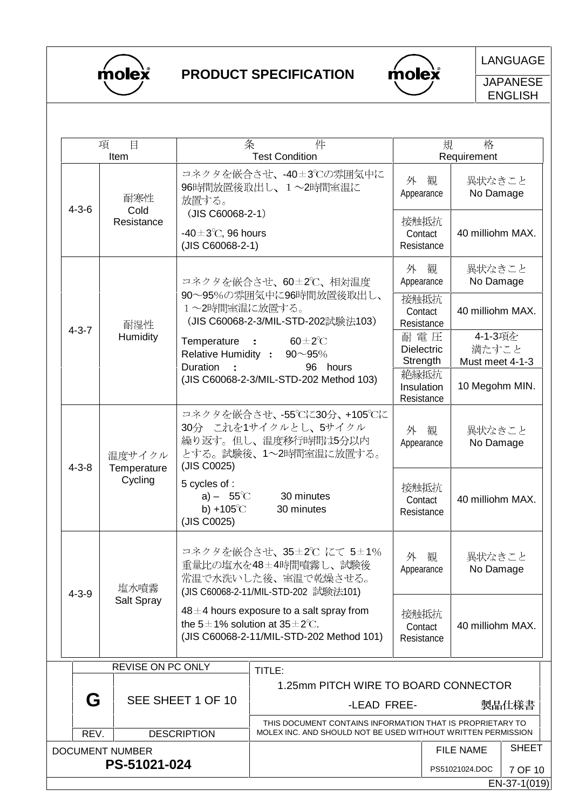



**JAPANESE** ENGLISH

| <b>Test Condition</b><br>Requirement<br>Item<br>コネクタを嵌合させ、-40±3℃の雰囲気中に<br>外<br>観<br>異状なきこと<br>96時間放置後取出し、1~2時間室温に<br>No Damage<br>Appearance<br>耐寒性<br>放置する。<br>$4 - 3 - 6$<br>Cold<br>(JIS C60068-2-1)<br>接触抵抗<br>Resistance<br>-40 $\pm$ 3 $\degree$ C, 96 hours<br>40 milliohm MAX.<br>Contact<br>(JIS C60068-2-1)<br>Resistance<br>外 観<br>異状なきこと<br>コネクタを嵌合させ、60±2℃、相対温度<br>Appearance<br>No Damage<br>90~95%の雰囲気中に96時間放置後取出し、<br>接触抵抗<br>1~2時間室温に放置する。<br>40 milliohm MAX.<br>Contact<br>(JIS C60068-2-3/MIL-STD-202試験法103)<br>Resistance<br>耐湿性<br>$4 - 3 - 7$<br>4-1-3項を<br>耐電圧<br>Humidity<br>$60 \pm 2^{\circ}$ C<br>Temperature :<br>満たすこと<br><b>Dielectric</b><br>Relative Humidity : 90~95%<br>Strength<br>Must meet 4-1-3<br>Duration<br>$\ddot{\cdot}$<br>96 hours<br>絶縁抵抗<br>(JIS C60068-2-3/MIL-STD-202 Method 103)<br>10 Megohm MIN.<br>Insulation<br>Resistance<br>コネクタを嵌合させ、-55℃に30分、+105℃に<br>30分 これを1サイクルとし、5サイクル<br>外<br>観<br>異状なきこと<br>繰り返す。但し、温度移行時間は5分以内<br>No Damage<br>Appearance<br>とする。試験後、1~2時間室温に放置する。<br>温度サイクル<br>(JIS C0025)<br>$4 - 3 - 8$<br>Temperature<br>Cycling<br>5 cycles of :<br>接触抵抗<br>a) – $55^{\circ}$ C<br>30 minutes<br>40 milliohm MAX.<br>Contact<br>b) +105 $\degree$ C<br>30 minutes<br>Resistance<br>(JIS C0025)<br>コネクタを嵌合させ、35±2℃にて5±1%<br>外 観<br>異状なきこと<br>重量比の塩水を48±4時間噴霧し、試験後<br>No Damage<br>Appearance<br>常温で水洗いした後、室温で乾燥させる。<br>塩水噴霧<br>(JIS C60068-2-11/MIL-STD-202 試験法101)<br>$4 - 3 - 9$<br>Salt Spray<br>$48\pm4$ hours exposure to a salt spray from<br>接触抵抗<br>the $5 \pm 1\%$ solution at $35 \pm 2\degree$ C.<br>40 milliohm MAX.<br>Contact<br>(JIS C60068-2-11/MIL-STD-202 Method 101)<br>Resistance<br>REVISE ON PC ONLY<br>TITLE:<br>1.25mm PITCH WIRE TO BOARD CONNECTOR<br>G<br>SEE SHEET 1 OF 10<br>製品仕様書<br>-LEAD FREE-<br>THIS DOCUMENT CONTAINS INFORMATION THAT IS PROPRIETARY TO<br>MOLEX INC. AND SHOULD NOT BE USED WITHOUT WRITTEN PERMISSION<br>REV.<br><b>DESCRIPTION</b><br><b>FILE NAME</b><br><b>DOCUMENT NUMBER</b><br>PS-51021-024<br>PS51021024.DOC<br>EN-37-1(019) |  | 項<br>$\Box$ |  | 件<br>条 |  | 規 | 格 |              |
|------------------------------------------------------------------------------------------------------------------------------------------------------------------------------------------------------------------------------------------------------------------------------------------------------------------------------------------------------------------------------------------------------------------------------------------------------------------------------------------------------------------------------------------------------------------------------------------------------------------------------------------------------------------------------------------------------------------------------------------------------------------------------------------------------------------------------------------------------------------------------------------------------------------------------------------------------------------------------------------------------------------------------------------------------------------------------------------------------------------------------------------------------------------------------------------------------------------------------------------------------------------------------------------------------------------------------------------------------------------------------------------------------------------------------------------------------------------------------------------------------------------------------------------------------------------------------------------------------------------------------------------------------------------------------------------------------------------------------------------------------------------------------------------------------------------------------------------------------------------------------------------------------------------------------------------------------------------------------------------------------------------------------------------------------------------|--|-------------|--|--------|--|---|---|--------------|
|                                                                                                                                                                                                                                                                                                                                                                                                                                                                                                                                                                                                                                                                                                                                                                                                                                                                                                                                                                                                                                                                                                                                                                                                                                                                                                                                                                                                                                                                                                                                                                                                                                                                                                                                                                                                                                                                                                                                                                                                                                                                  |  |             |  |        |  |   |   |              |
|                                                                                                                                                                                                                                                                                                                                                                                                                                                                                                                                                                                                                                                                                                                                                                                                                                                                                                                                                                                                                                                                                                                                                                                                                                                                                                                                                                                                                                                                                                                                                                                                                                                                                                                                                                                                                                                                                                                                                                                                                                                                  |  |             |  |        |  |   |   |              |
|                                                                                                                                                                                                                                                                                                                                                                                                                                                                                                                                                                                                                                                                                                                                                                                                                                                                                                                                                                                                                                                                                                                                                                                                                                                                                                                                                                                                                                                                                                                                                                                                                                                                                                                                                                                                                                                                                                                                                                                                                                                                  |  |             |  |        |  |   |   |              |
|                                                                                                                                                                                                                                                                                                                                                                                                                                                                                                                                                                                                                                                                                                                                                                                                                                                                                                                                                                                                                                                                                                                                                                                                                                                                                                                                                                                                                                                                                                                                                                                                                                                                                                                                                                                                                                                                                                                                                                                                                                                                  |  |             |  |        |  |   |   |              |
|                                                                                                                                                                                                                                                                                                                                                                                                                                                                                                                                                                                                                                                                                                                                                                                                                                                                                                                                                                                                                                                                                                                                                                                                                                                                                                                                                                                                                                                                                                                                                                                                                                                                                                                                                                                                                                                                                                                                                                                                                                                                  |  |             |  |        |  |   |   |              |
|                                                                                                                                                                                                                                                                                                                                                                                                                                                                                                                                                                                                                                                                                                                                                                                                                                                                                                                                                                                                                                                                                                                                                                                                                                                                                                                                                                                                                                                                                                                                                                                                                                                                                                                                                                                                                                                                                                                                                                                                                                                                  |  |             |  |        |  |   |   |              |
|                                                                                                                                                                                                                                                                                                                                                                                                                                                                                                                                                                                                                                                                                                                                                                                                                                                                                                                                                                                                                                                                                                                                                                                                                                                                                                                                                                                                                                                                                                                                                                                                                                                                                                                                                                                                                                                                                                                                                                                                                                                                  |  |             |  |        |  |   |   |              |
|                                                                                                                                                                                                                                                                                                                                                                                                                                                                                                                                                                                                                                                                                                                                                                                                                                                                                                                                                                                                                                                                                                                                                                                                                                                                                                                                                                                                                                                                                                                                                                                                                                                                                                                                                                                                                                                                                                                                                                                                                                                                  |  |             |  |        |  |   |   |              |
|                                                                                                                                                                                                                                                                                                                                                                                                                                                                                                                                                                                                                                                                                                                                                                                                                                                                                                                                                                                                                                                                                                                                                                                                                                                                                                                                                                                                                                                                                                                                                                                                                                                                                                                                                                                                                                                                                                                                                                                                                                                                  |  |             |  |        |  |   |   |              |
|                                                                                                                                                                                                                                                                                                                                                                                                                                                                                                                                                                                                                                                                                                                                                                                                                                                                                                                                                                                                                                                                                                                                                                                                                                                                                                                                                                                                                                                                                                                                                                                                                                                                                                                                                                                                                                                                                                                                                                                                                                                                  |  |             |  |        |  |   |   |              |
|                                                                                                                                                                                                                                                                                                                                                                                                                                                                                                                                                                                                                                                                                                                                                                                                                                                                                                                                                                                                                                                                                                                                                                                                                                                                                                                                                                                                                                                                                                                                                                                                                                                                                                                                                                                                                                                                                                                                                                                                                                                                  |  |             |  |        |  |   |   |              |
|                                                                                                                                                                                                                                                                                                                                                                                                                                                                                                                                                                                                                                                                                                                                                                                                                                                                                                                                                                                                                                                                                                                                                                                                                                                                                                                                                                                                                                                                                                                                                                                                                                                                                                                                                                                                                                                                                                                                                                                                                                                                  |  |             |  |        |  |   |   |              |
|                                                                                                                                                                                                                                                                                                                                                                                                                                                                                                                                                                                                                                                                                                                                                                                                                                                                                                                                                                                                                                                                                                                                                                                                                                                                                                                                                                                                                                                                                                                                                                                                                                                                                                                                                                                                                                                                                                                                                                                                                                                                  |  |             |  |        |  |   |   |              |
|                                                                                                                                                                                                                                                                                                                                                                                                                                                                                                                                                                                                                                                                                                                                                                                                                                                                                                                                                                                                                                                                                                                                                                                                                                                                                                                                                                                                                                                                                                                                                                                                                                                                                                                                                                                                                                                                                                                                                                                                                                                                  |  |             |  |        |  |   |   |              |
|                                                                                                                                                                                                                                                                                                                                                                                                                                                                                                                                                                                                                                                                                                                                                                                                                                                                                                                                                                                                                                                                                                                                                                                                                                                                                                                                                                                                                                                                                                                                                                                                                                                                                                                                                                                                                                                                                                                                                                                                                                                                  |  |             |  |        |  |   |   |              |
|                                                                                                                                                                                                                                                                                                                                                                                                                                                                                                                                                                                                                                                                                                                                                                                                                                                                                                                                                                                                                                                                                                                                                                                                                                                                                                                                                                                                                                                                                                                                                                                                                                                                                                                                                                                                                                                                                                                                                                                                                                                                  |  |             |  |        |  |   |   | <b>SHEET</b> |
|                                                                                                                                                                                                                                                                                                                                                                                                                                                                                                                                                                                                                                                                                                                                                                                                                                                                                                                                                                                                                                                                                                                                                                                                                                                                                                                                                                                                                                                                                                                                                                                                                                                                                                                                                                                                                                                                                                                                                                                                                                                                  |  |             |  |        |  |   |   | 7 OF 10      |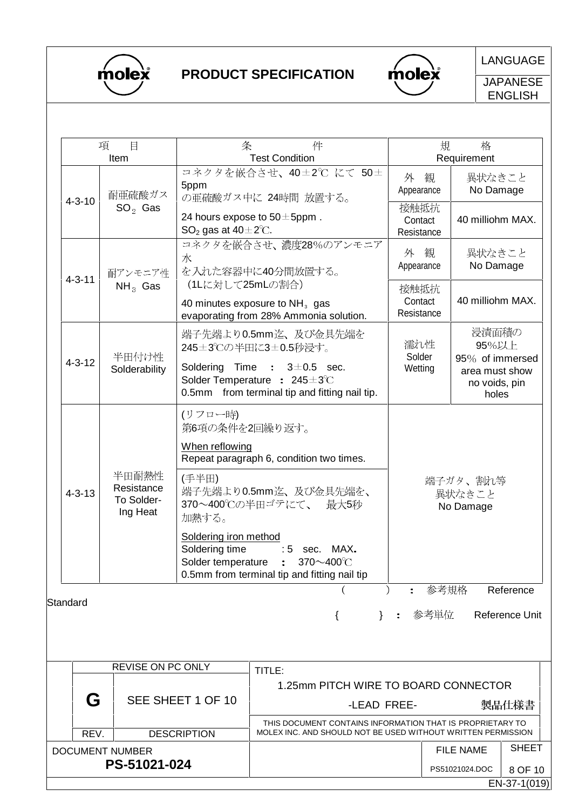



**JAPANESE** ENGLISH

|          |                        | 項<br>$\mathbf{E}$<br>Item                     | 条                                                          | 件<br><b>Test Condition</b>                                                                                                       |                                                     | 規<br>格<br>Requirement           |                                   |
|----------|------------------------|-----------------------------------------------|------------------------------------------------------------|----------------------------------------------------------------------------------------------------------------------------------|-----------------------------------------------------|---------------------------------|-----------------------------------|
|          | $4 - 3 - 10$           | 耐亜硫酸ガス                                        | 5ppm                                                       | コネクタを嵌合させ、40±2℃にて50±<br>の亜硫酸ガス中に 24時間 放置する。                                                                                      | 外<br>観<br>Appearance                                |                                 | 異状なきこと<br>No Damage               |
|          | $SO_2$ Gas             |                                               | $SO2$ gas at 40 $\pm$ 2°C.                                 | 24 hours expose to $50 \pm 5$ ppm.                                                                                               | 接触抵抗<br>Contact<br>Resistance                       |                                 | 40 milliohm MAX.                  |
|          |                        | 耐アンモニア性                                       | 水                                                          | コネクタを嵌合させ、濃度28%のアンモニア<br>を入れた容器中に40分間放置する。                                                                                       | 外<br>観<br>Appearance                                |                                 | 異状なきこと<br>No Damage               |
|          | $4 - 3 - 11$           | $NH3$ Gas                                     | (1Lに対して25mLの割合)                                            | 40 minutes exposure to $NH3$ gas<br>evaporating from 28% Ammonia solution.                                                       | 接触抵抗<br>Contact<br>Resistance                       |                                 | 40 milliohm MAX.                  |
|          | $4 - 3 - 12$           | 半田付け性                                         |                                                            | 端子先端より0.5mm迄、及び金具先端を<br>245±3℃の半田に3±0.5秒浸す。                                                                                      | 濡れ性<br>Solder                                       |                                 | 浸漬面積の<br>95%以上<br>95% of immersed |
|          |                        | Solderability                                 | Soldering Time                                             | $3\pm0.5$ sec.<br>$\sim 10^{-10}$<br>Solder Temperature : $245 \pm 3^{\circ}$ C<br>0.5mm from terminal tip and fitting nail tip. | Wetting<br>area must show<br>no voids, pin<br>holes |                                 |                                   |
|          |                        |                                               | (リフロー時)<br>第6項の条件を2回繰り返す。                                  |                                                                                                                                  |                                                     |                                 |                                   |
|          |                        |                                               | When reflowing<br>Repeat paragraph 6, condition two times. |                                                                                                                                  |                                                     |                                 |                                   |
|          | $4 - 3 - 13$           | 半田耐熱性<br>Resistance<br>To Solder-<br>Ing Heat | (手半田)<br>加熱する。                                             | 端子先端より0.5mm迄、及び金具先端を、<br>最大5秒<br>370~400℃の半田ゴテにて、                                                                                |                                                     | 端子ガタ、割れ等<br>異状なきこと<br>No Damage |                                   |
|          |                        |                                               | Soldering iron method<br>Soldering time                    | :5 sec. MAX.<br>Solder temperature : 370~400°C<br>0.5mm from terminal tip and fitting nail tip                                   |                                                     |                                 |                                   |
| Standard |                        |                                               |                                                            |                                                                                                                                  | $\mathbf{r}$                                        | 参考規格                            | Reference                         |
|          |                        |                                               |                                                            | ₹                                                                                                                                | $\ddot{\cdot}$                                      | 参考単位                            | Reference Unit                    |
|          |                        | REVISE ON PC ONLY                             |                                                            |                                                                                                                                  |                                                     |                                 |                                   |
|          |                        |                                               |                                                            | TITLE:<br>1.25mm PITCH WIRE TO BOARD CONNECTOR                                                                                   |                                                     |                                 |                                   |
|          | G<br>SEE SHEET 1 OF 10 |                                               | -LEAD FREE-                                                |                                                                                                                                  |                                                     | 製品仕様書                           |                                   |
|          | REV.                   |                                               | <b>DESCRIPTION</b>                                         | THIS DOCUMENT CONTAINS INFORMATION THAT IS PROPRIETARY TO<br>MOLEX INC. AND SHOULD NOT BE USED WITHOUT WRITTEN PERMISSION        |                                                     |                                 |                                   |
|          |                        | <b>DOCUMENT NUMBER</b>                        |                                                            |                                                                                                                                  |                                                     | <b>FILE NAME</b>                | <b>SHEET</b>                      |
|          |                        | PS-51021-024                                  |                                                            |                                                                                                                                  |                                                     | PS51021024.DOC                  | 8 OF 10                           |

EN-37-1(019)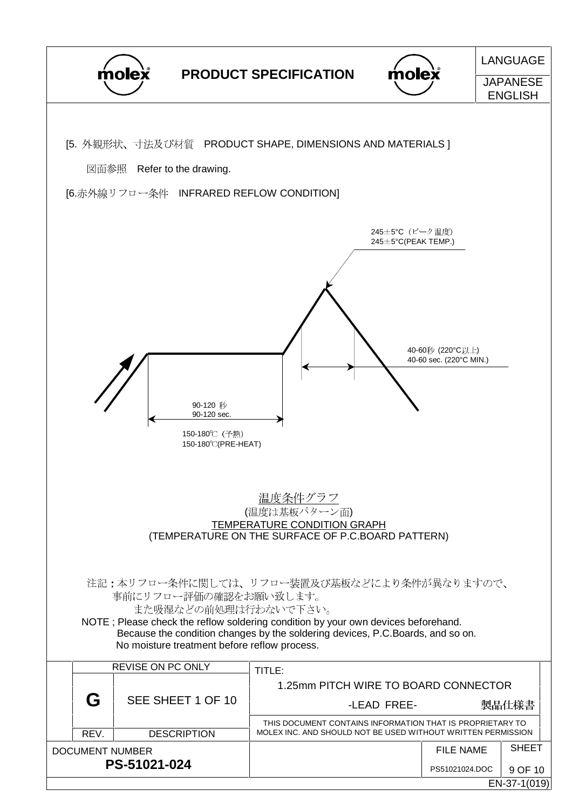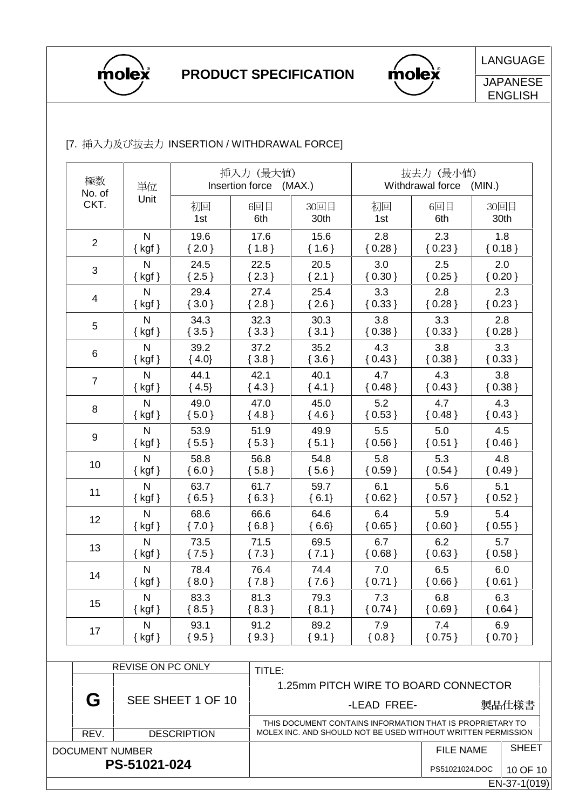

DOCUMENT NUMBER

**PS-51021-024**



LANGUAGE

**JAPANESE** ENGLISH

## [7. 挿入力及び抜去力 INSERTION / WITHDRAWAL FORCE]

| 極数<br>No. of                                                                                                                                            | 単位                                  |                   | 挿入力 (最大値)<br>Insertion force (MAX.)  |                      |                 | 抜去力 (最小値)<br>Withdrawal force (MIN.) |                 |  |
|---------------------------------------------------------------------------------------------------------------------------------------------------------|-------------------------------------|-------------------|--------------------------------------|----------------------|-----------------|--------------------------------------|-----------------|--|
| CKT.                                                                                                                                                    | Unit                                | 初回<br>1st         | 6回目<br>6th                           | 30回目<br>30th         | 初回<br>1st       | 6回目<br>6th                           | 30回目<br>30th    |  |
| $\overline{2}$                                                                                                                                          | N<br>$\{ \text{ kgf} \}$            | 19.6<br>$\{2.0\}$ | 17.6<br>${1.8}$                      | 15.6<br>${1.6}$      | 2.8<br>${0.28}$ | 2.3<br>${0.23}$                      | 1.8<br>${0.18}$ |  |
| 3                                                                                                                                                       | $\mathsf{N}$<br>$\{ kgf \}$         | 24.5<br>${2.5}$   | 22.5<br>${2.3}$                      | 20.5<br>$\{2.1\}$    | 3.0<br>${0.30}$ | 2.5<br>${0.25}$                      | 2.0<br>${0.20}$ |  |
| 4                                                                                                                                                       | N<br>$\{ \text{ kgf} \}$            | 29.4<br>$\{3.0\}$ | 27.4<br>${2.8}$                      | 25.4<br>$\{2.6\}$    | 3.3<br>${0.33}$ | 2.8<br>${0.28}$                      | 2.3<br>${0.23}$ |  |
| 5                                                                                                                                                       | $\mathsf{N}$<br>$\{ \text{ kgf} \}$ | 34.3<br>${3.5}$   | 32.3<br>${3.3}$                      | 30.3<br>$\{3.1\}$    | 3.8<br>${0.38}$ | 3.3<br>${0.33}$                      | 2.8<br>${0.28}$ |  |
| 6                                                                                                                                                       | N<br>$\{ \text{ kgf} \}$            | 39.2<br>${4.0}$   | 37.2<br>$\{3.8\}$                    | 35.2<br>$\{3.6\}$    | 4.3<br>${0.43}$ | 3.8<br>${0.38}$                      | 3.3<br>${0.33}$ |  |
| $\overline{7}$                                                                                                                                          | $\mathsf{N}$<br>$\{ \text{ kgf} \}$ | 44.1<br>${4.5}$   | 42.1<br>${4.3}$                      | 40.1<br>${4.1}$      | 4.7<br>${0.48}$ | 4.3<br>${0.43}$                      | 3.8<br>${0.38}$ |  |
| 8                                                                                                                                                       | $\mathsf{N}$<br>$\{ kgf \}$         | 49.0<br>${5.0}$   | 47.0<br>${4.8}$                      | 45.0<br>${4.6}$      | 5.2<br>${0.53}$ | 4.7<br>${0.48}$                      | 4.3<br>${0.43}$ |  |
| 9                                                                                                                                                       | N<br>$\{ \text{ kgf} \}$            | 53.9<br>${5.5}$   | 51.9<br>${5.3}$                      | 49.9<br>${5.1}$      | 5.5<br>${0.56}$ | 5.0<br>${0.51}$                      | 4.5<br>${0.46}$ |  |
| 10                                                                                                                                                      | N<br>$\{ kgf \}$                    | 58.8<br>${6.0}$   | 56.8<br>${5.8}$                      | 54.8<br>${5.6}$      | 5.8<br>${0.59}$ | 5.3<br>${0.54}$                      | 4.8<br>${0.49}$ |  |
| 11                                                                                                                                                      | N<br>$\{ \text{ kgf} \}$            | 63.7<br>${6.5}$   | 61.7<br>${6.3}$                      | 59.7<br>${6.1}$      | 6.1<br>${0.62}$ | 5.6<br>${0.57}$                      | 5.1<br>${0.52}$ |  |
| 12                                                                                                                                                      | $\mathsf{N}$<br>$\{ \text{ kgf} \}$ | 68.6<br>${7.0}$   | 66.6<br>${6.8}$                      | 64.6<br>${6.6}$      | 6.4<br>${0.65}$ | 5.9<br>${0.60}$                      | 5.4<br>${0.55}$ |  |
| 13                                                                                                                                                      | N<br>$\{ \text{ kgf} \}$            | 73.5<br>${7.5}$   | 71.5<br>$\{7.3\}$                    | 69.5<br>$\{7.1\}$    | 6.7<br>${0.68}$ | 6.2<br>${0.63}$                      | 5.7<br>${0.58}$ |  |
| 14                                                                                                                                                      | N<br>$\{ \text{ kgf} \}$            | 78.4<br>${8.0}$   | 76.4<br>$\{7.8\}$                    | 74.4<br>$\{7.6\}$    | 7.0<br>${0.71}$ | 6.5<br>${0.66}$                      | 6.0<br>${0.61}$ |  |
| 15                                                                                                                                                      | $\mathsf{N}$<br>$\{ \text{ kgf} \}$ | 83.3<br>${8.5}$   | 81.3<br>${8.3}$                      | 79.3<br>${8.1}$      | 7.3<br>${0.74}$ | 6.8<br>${0.69}$                      | 6.3<br>${0.64}$ |  |
| 17                                                                                                                                                      | N<br>$\{ kgf \}$                    | 93.1<br>${9.5}$   | 91.2<br>${9.3}$                      | 89.2<br>${9.1}$      | 7.9<br>${0.8}$  | 7.4<br>${0.75}$                      | 6.9<br>${0.70}$ |  |
| REVISE ON PC ONLY                                                                                                                                       |                                     |                   | TITLE:                               |                      |                 |                                      |                 |  |
| G<br>SEE SHEET 1 OF 10                                                                                                                                  |                                     |                   | 1.25mm PITCH WIRE TO BOARD CONNECTOR |                      |                 |                                      |                 |  |
|                                                                                                                                                         |                                     |                   |                                      | 製品仕様書<br>-LEAD FREE- |                 |                                      |                 |  |
| THIS DOCUMENT CONTAINS INFORMATION THAT IS PROPRIETARY TO<br>REV.<br><b>DESCRIPTION</b><br>MOLEX INC. AND SHOULD NOT BE USED WITHOUT WRITTEN PERMISSION |                                     |                   |                                      |                      |                 |                                      |                 |  |

PS51021024.DOC 10 OF 10 EN-37-1(019)

SHEET

FILE NAME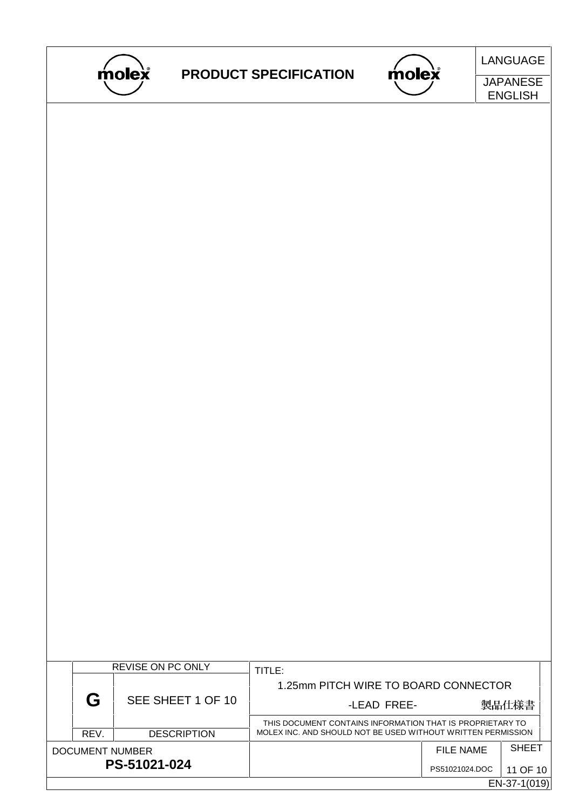|                                 |                        | molex                    |                                      | <b>PRODUCT SPECIFICATION</b>                                 | molex       |                             |  | LANGUAGE<br><b>JAPANESE</b><br><b>ENGLISH</b> |
|---------------------------------|------------------------|--------------------------|--------------------------------------|--------------------------------------------------------------|-------------|-----------------------------|--|-----------------------------------------------|
|                                 |                        |                          |                                      |                                                              |             |                             |  |                                               |
|                                 |                        |                          |                                      |                                                              |             |                             |  |                                               |
|                                 |                        |                          |                                      |                                                              |             |                             |  |                                               |
|                                 |                        |                          |                                      |                                                              |             |                             |  |                                               |
|                                 |                        |                          |                                      |                                                              |             |                             |  |                                               |
|                                 |                        |                          |                                      |                                                              |             |                             |  |                                               |
|                                 |                        |                          |                                      |                                                              |             |                             |  |                                               |
|                                 |                        |                          |                                      |                                                              |             |                             |  |                                               |
|                                 |                        |                          |                                      |                                                              |             |                             |  |                                               |
|                                 |                        |                          |                                      |                                                              |             |                             |  |                                               |
|                                 |                        |                          |                                      |                                                              |             |                             |  |                                               |
|                                 |                        |                          |                                      |                                                              |             |                             |  |                                               |
|                                 |                        |                          |                                      |                                                              |             |                             |  |                                               |
|                                 |                        |                          |                                      |                                                              |             |                             |  |                                               |
|                                 |                        | <b>REVISE ON PC ONLY</b> |                                      | TITLE:                                                       |             |                             |  |                                               |
|                                 | G<br>SEE SHEET 1 OF 10 |                          | 1.25mm PITCH WIRE TO BOARD CONNECTOR |                                                              |             |                             |  |                                               |
|                                 |                        |                          |                                      | THIS DOCUMENT CONTAINS INFORMATION THAT IS PROPRIETARY TO    | -LEAD FREE- |                             |  | 製品仕様書                                         |
|                                 | REV.                   |                          | <b>DESCRIPTION</b>                   | MOLEX INC. AND SHOULD NOT BE USED WITHOUT WRITTEN PERMISSION |             |                             |  |                                               |
| DOCUMENT NUMBER<br>PS-51021-024 |                        |                          |                                      |                                                              |             | FILE NAME<br>PS51021024.DOC |  | <b>SHEET</b><br>11 OF 10                      |
|                                 |                        |                          |                                      |                                                              |             |                             |  | $EN-37-1(019)$                                |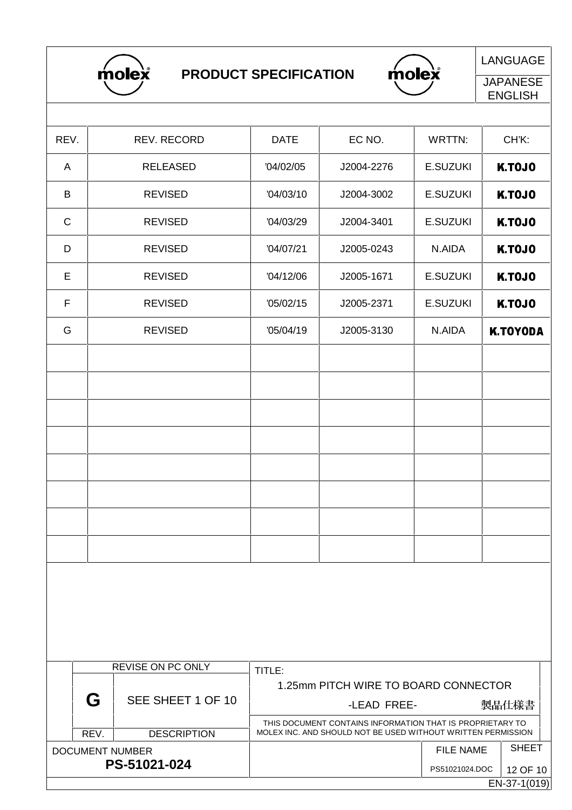

ENGLISH

| REV.                   |                                                    | <b>REV. RECORD</b> | <b>DATE</b>                                                                                                               | EC NO.     | WRTTN:           | CH'K:           |  |  |  |
|------------------------|----------------------------------------------------|--------------------|---------------------------------------------------------------------------------------------------------------------------|------------|------------------|-----------------|--|--|--|
| A                      |                                                    | <b>RELEASED</b>    | '04/02/05                                                                                                                 | J2004-2276 | E.SUZUKI         | K.TOJO          |  |  |  |
| B                      |                                                    | <b>REVISED</b>     | '04/03/10                                                                                                                 | J2004-3002 | E.SUZUKI         | K.TOJO          |  |  |  |
| $\mathsf{C}$           |                                                    | <b>REVISED</b>     | '04/03/29                                                                                                                 | J2004-3401 | E.SUZUKI         | K.TOJO          |  |  |  |
| D                      |                                                    | <b>REVISED</b>     | '04/07/21                                                                                                                 | J2005-0243 | N.AIDA           | K.TOJO          |  |  |  |
| Е                      |                                                    | <b>REVISED</b>     | '04/12/06                                                                                                                 | J2005-1671 | E.SUZUKI         | K.TOJO          |  |  |  |
| F                      |                                                    | <b>REVISED</b>     | '05/02/15                                                                                                                 | J2005-2371 | E.SUZUKI         | K.TOJO          |  |  |  |
| G                      |                                                    | <b>REVISED</b>     | '05/04/19                                                                                                                 | J2005-3130 | N.AIDA           | <b>K.TOYODA</b> |  |  |  |
|                        |                                                    |                    |                                                                                                                           |            |                  |                 |  |  |  |
|                        |                                                    |                    |                                                                                                                           |            |                  |                 |  |  |  |
|                        |                                                    |                    |                                                                                                                           |            |                  |                 |  |  |  |
|                        |                                                    |                    |                                                                                                                           |            |                  |                 |  |  |  |
|                        |                                                    |                    |                                                                                                                           |            |                  |                 |  |  |  |
|                        |                                                    |                    |                                                                                                                           |            |                  |                 |  |  |  |
|                        |                                                    |                    |                                                                                                                           |            |                  |                 |  |  |  |
|                        |                                                    |                    |                                                                                                                           |            |                  |                 |  |  |  |
|                        |                                                    |                    |                                                                                                                           |            |                  |                 |  |  |  |
|                        |                                                    |                    |                                                                                                                           |            |                  |                 |  |  |  |
|                        |                                                    |                    |                                                                                                                           |            |                  |                 |  |  |  |
|                        |                                                    |                    |                                                                                                                           |            |                  |                 |  |  |  |
|                        | <b>REVISE ON PC ONLY</b><br>G<br>SEE SHEET 1 OF 10 |                    | TITLE:<br>1.25mm PITCH WIRE TO BOARD CONNECTOR                                                                            |            |                  |                 |  |  |  |
|                        |                                                    |                    | 製品仕様書<br>-LEAD FREE-                                                                                                      |            |                  |                 |  |  |  |
|                        | REV.                                               | <b>DESCRIPTION</b> | THIS DOCUMENT CONTAINS INFORMATION THAT IS PROPRIETARY TO<br>MOLEX INC. AND SHOULD NOT BE USED WITHOUT WRITTEN PERMISSION |            |                  |                 |  |  |  |
| <b>DOCUMENT NUMBER</b> |                                                    |                    |                                                                                                                           |            | <b>FILE NAME</b> | <b>SHEET</b>    |  |  |  |
| PS-51021-024           |                                                    |                    |                                                                                                                           |            | PS51021024.DOC   | 12 OF 10        |  |  |  |